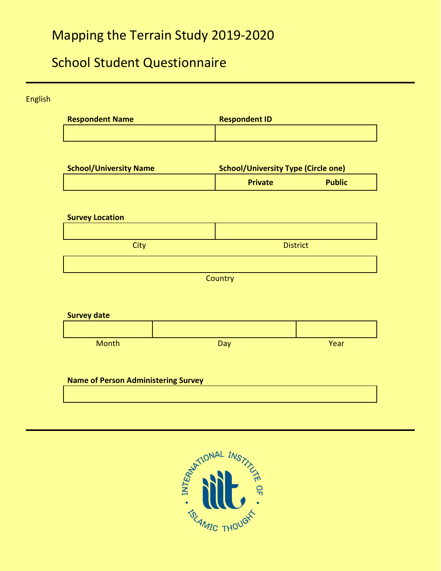# Mapping the Terrain Study 2019-2020

## School Student Questionnaire

English **Respondent Name Respondent ID School/University Name School/University Type (Circle one) Private Public Survey Location City** District **Country Survey date** Month Day Day **Day North Wear Name of Person Administering Survey**

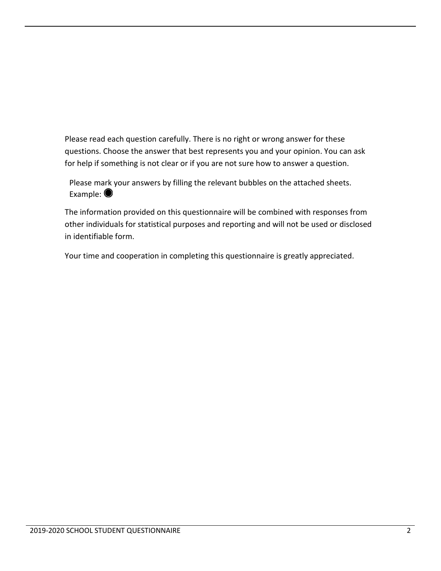Please read each question carefully. There is no right or wrong answer for these questions. Choose the answer that best represents you and your opinion. You can ask for help if something is not clear or if you are not sure how to answer a question.

Please mark your answers by filling the relevant bubbles on the attached sheets. Example:  $\bullet$ 

The information provided on this questionnaire will be combined with responses from other individuals for statistical purposes and reporting and will not be used or disclosed in identifiable form.

Your time and cooperation in completing this questionnaire is greatly appreciated.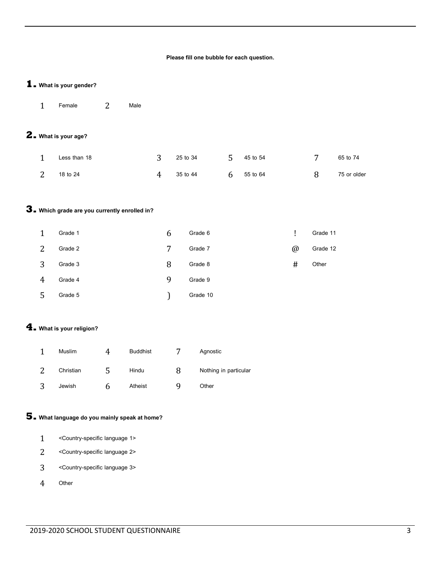#### **Please fill one bubble for each question.**

#### **1. What is your gender?**

Female 2 Male

## **2. What is your age?**

| Less than 18 | 3 25 to 34 | $5\quad 45$ to 54 | 65 to 74    |
|--------------|------------|-------------------|-------------|
| 2 18 to 24   | 4 35 to 44 | 6 55 to 64        | 75 or older |

#### **3. Which grade are you currently enrolled in?**

|   | Grade 1 | b | Grade 6  |          | Grade 11 |
|---|---------|---|----------|----------|----------|
|   | Grade 2 | 7 | Grade 7  | $\omega$ | Grade 12 |
| ર | Grade 3 | 8 | Grade 8  | #        | Other    |
|   | Grade 4 | 9 | Grade 9  |          |          |
|   | Grade 5 |   | Grade 10 |          |          |

#### **4. What is your religion?**

| ◢ | Muslim    |   | <b>Buddhist</b> |   | Agnostic              |
|---|-----------|---|-----------------|---|-----------------------|
|   | Christian |   | Hindu           | 8 | Nothing in particular |
| 3 | Jewish    | n | Atheist         | ч | Other                 |

### **5. What language do you mainly speak at home?**

- <Country-specific language 1>
- 2 <Country-specific language 2>
- <Country-specific language 3>
- Other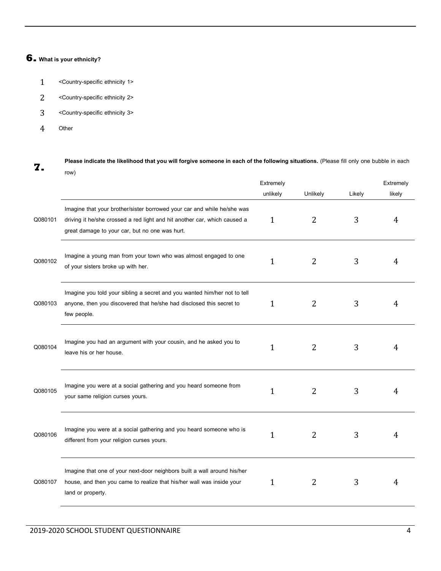### **6. What is your ethnicity?**

- 1 <Country-specific ethnicity 1>
- 2 <Country-specific ethnicity 2>
- 3 <Country-specific ethnicity 3>
- 4 Other

**7.** Please indicate the likelihood that you will forgive someone in each of the following situations. (Please fill only one bubble in each **7.** row)

|         |                                                                                                                                                                                                        | Extremely    |                |        | Extremely |
|---------|--------------------------------------------------------------------------------------------------------------------------------------------------------------------------------------------------------|--------------|----------------|--------|-----------|
|         |                                                                                                                                                                                                        | unlikely     | Unlikely       | Likely | likely    |
| Q080101 | Imagine that your brother/sister borrowed your car and while he/she was<br>driving it he/she crossed a red light and hit another car, which caused a<br>great damage to your car, but no one was hurt. | $\mathbf{1}$ | 2              | 3      | 4         |
| Q080102 | Imagine a young man from your town who was almost engaged to one<br>of your sisters broke up with her.                                                                                                 | $\mathbf{1}$ | 2              | 3      | 4         |
| Q080103 | Imagine you told your sibling a secret and you wanted him/her not to tell<br>anyone, then you discovered that he/she had disclosed this secret to<br>few people.                                       | $\mathbf{1}$ | $\overline{2}$ | 3      | 4         |
| Q080104 | Imagine you had an argument with your cousin, and he asked you to<br>leave his or her house.                                                                                                           | $\mathbf{1}$ | $\overline{2}$ | 3      | 4         |
| Q080105 | Imagine you were at a social gathering and you heard someone from<br>your same religion curses yours.                                                                                                  | $\mathbf 1$  | $\overline{2}$ | 3      | 4         |
| Q080106 | Imagine you were at a social gathering and you heard someone who is<br>different from your religion curses yours.                                                                                      | $\mathbf 1$  | 2              | 3      | 4         |
| Q080107 | Imagine that one of your next-door neighbors built a wall around his/her<br>house, and then you came to realize that his/her wall was inside your<br>land or property.                                 | 1            | 2              | 3      | 4         |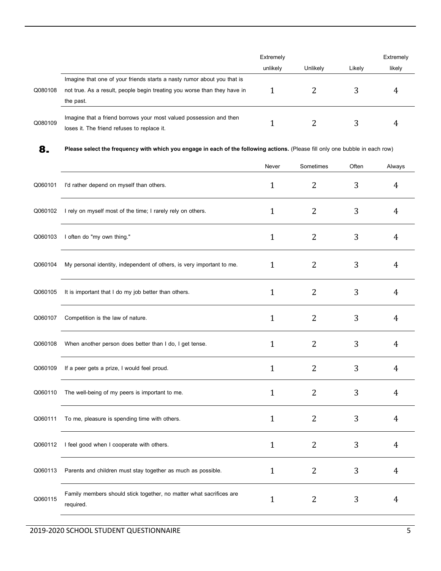|         |                                                                          | Extremely |          |        | Extremely |  |
|---------|--------------------------------------------------------------------------|-----------|----------|--------|-----------|--|
|         |                                                                          | unlikely  | Unlikely | Likelv | likely    |  |
|         | Imagine that one of your friends starts a nasty rumor about you that is  |           |          |        |           |  |
| Q080108 | not true. As a result, people begin treating you worse than they have in |           |          |        |           |  |
|         | the past.                                                                |           |          |        |           |  |
| Q080109 | Imagine that a friend borrows your most valued possession and then       |           |          |        |           |  |
|         | loses it. The friend refuses to replace it.                              |           |          |        |           |  |

**8. Please select the frequency with which you engage in each of the following actions.** (Please fill only one bubble in each row)

|         |                                                                                  | Never        | Sometimes      | Often | Always         |
|---------|----------------------------------------------------------------------------------|--------------|----------------|-------|----------------|
| Q060101 | I'd rather depend on myself than others.                                         | $\mathbf{1}$ | $\overline{2}$ | 3     | 4              |
| Q060102 | I rely on myself most of the time; I rarely rely on others.                      | $\mathbf{1}$ | $\overline{2}$ | 3     | 4              |
| Q060103 | I often do "my own thing."                                                       | $\mathbf{1}$ | 2              | 3     | 4              |
| Q060104 | My personal identity, independent of others, is very important to me.            | $\mathbf{1}$ | $\overline{2}$ | 3     | 4              |
| Q060105 | It is important that I do my job better than others.                             | 1            | 2              | 3     | 4              |
| Q060107 | Competition is the law of nature.                                                | $\mathbf{1}$ | $\overline{2}$ | 3     | $\overline{4}$ |
| Q060108 | When another person does better than I do, I get tense.                          | $\mathbf{1}$ | 2              | 3     | $\overline{4}$ |
| Q060109 | If a peer gets a prize, I would feel proud.                                      | $\mathbf{1}$ | 2              | 3     | 4              |
| Q060110 | The well-being of my peers is important to me.                                   | $\mathbf{1}$ | 2              | 3     | 4              |
| Q060111 | To me, pleasure is spending time with others.                                    | $\mathbf{1}$ | $\overline{2}$ | 3     | 4              |
| Q060112 | I feel good when I cooperate with others.                                        | 1            | 2              | 3     | 4              |
| Q060113 | Parents and children must stay together as much as possible.                     | $\mathbf{1}$ | $\overline{2}$ | 3     | 4              |
| Q060115 | Family members should stick together, no matter what sacrifices are<br>required. | $\mathbf{1}$ | $\overline{2}$ | 3     | 4              |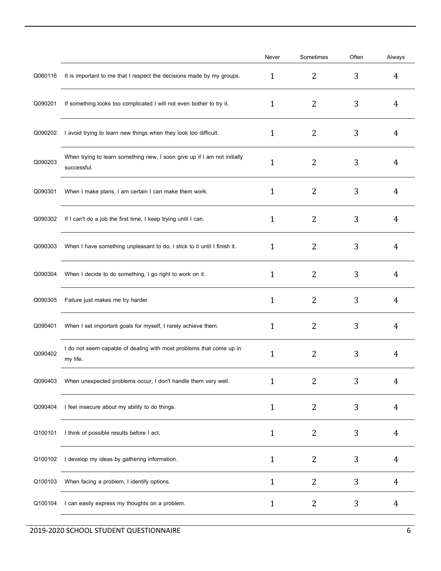|         |                                                                                         | Never        | Sometimes      | Often | Always |
|---------|-----------------------------------------------------------------------------------------|--------------|----------------|-------|--------|
| Q060116 | It is important to me that I respect the decisions made by my groups.                   | $\mathbf{1}$ | 2              | 3     | 4      |
| Q090201 | If something looks too complicated I will not even bother to try it.                    | 1            | 2              | 3     | 4      |
| Q090202 | I avoid trying to learn new things when they look too difficult.                        | 1            | 2              | 3     | 4      |
| Q090203 | When trying to learn something new, I soon give up if I am not initially<br>successful. | 1            | 2              | 3     | 4      |
| Q090301 | When I make plans, I am certain I can make them work.                                   | 1            | 2              | 3     | 4      |
| Q090302 | If I can't do a job the first time, I keep trying until I can.                          | 1            | 2              | 3     | 4      |
| Q090303 | When I have something unpleasant to do, I stick to it until I finish it.                | $\mathbf{1}$ | 2              | 3     | 4      |
| Q090304 | When I decide to do something, I go right to work on it.                                | $\mathbf{1}$ | 2              | 3     | 4      |
| Q090305 | Failure just makes me try harder.                                                       | $\mathbf{1}$ | 2              | 3     | 4      |
| Q090401 | When I set important goals for myself, I rarely achieve them.                           | $\mathbf{1}$ | 2              | 3     | 4      |
| Q090402 | I do not seem capable of dealing with most problems that come up in<br>my life.         | 1            | 2              | 3     | 4      |
| Q090403 | When unexpected problems occur, I don't handle them very well.                          | $\mathbf{1}$ | 2              | 3     | 4      |
| Q090404 | I feel insecure about my ability to do things.                                          | $\mathbf{1}$ | $\overline{2}$ | 3     | 4      |
| Q100101 | I think of possible results before I act.                                               | $\mathbf{1}$ | $\overline{2}$ | 3     | 4      |
| Q100102 | I develop my ideas by gathering information.                                            | $\mathbf{1}$ | 2              | 3     | 4      |
| Q100103 | When facing a problem, I identify options.                                              | $\mathbf{1}$ | $\overline{2}$ | 3     | 4      |
| Q100104 | I can easily express my thoughts on a problem.                                          | $\mathbf{1}$ | 2              | 3     | 4      |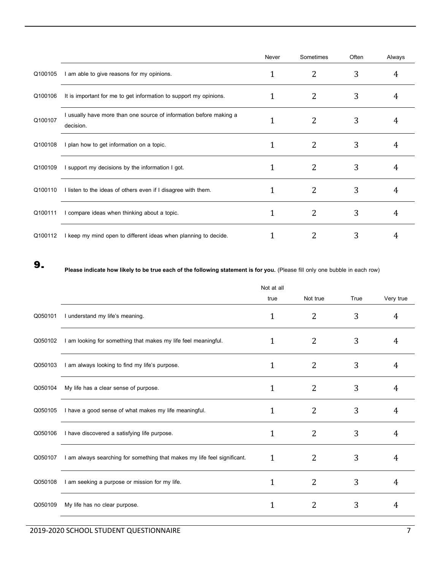|         |                                                                                 | Never | Sometimes | Often | Always |
|---------|---------------------------------------------------------------------------------|-------|-----------|-------|--------|
| Q100105 | I am able to give reasons for my opinions.                                      |       | 2         | 3     | 4      |
| Q100106 | It is important for me to get information to support my opinions.               |       | 2         | 3     | 4      |
| Q100107 | I usually have more than one source of information before making a<br>decision. |       |           | 3     | 4      |
| Q100108 | I plan how to get information on a topic.                                       |       | 2         | 3     | 4      |
| Q100109 | I support my decisions by the information I got.                                |       | 2         | 3     | 4      |
| Q100110 | I listen to the ideas of others even if I disagree with them.                   |       | 2         | 3     | 4      |
| Q100111 | I compare ideas when thinking about a topic.                                    |       | 2         | 3     |        |
| Q100112 | I keep my mind open to different ideas when planning to decide.                 |       |           | 3     |        |

**9. Please indicate how likely to be true each of the following statement is for you.** (Please fill only one bubble in each row)

|         |                                                                          | Not at all   |                |      |           |
|---------|--------------------------------------------------------------------------|--------------|----------------|------|-----------|
|         |                                                                          | true         | Not true       | True | Very true |
| Q050101 | I understand my life's meaning.                                          | 1            | 2              | 3    | 4         |
| Q050102 | I am looking for something that makes my life feel meaningful.           | 1            | 2              | 3    | 4         |
| Q050103 | I am always looking to find my life's purpose.                           | $\mathbf{1}$ | 2              | 3    | 4         |
| Q050104 | My life has a clear sense of purpose.                                    | 1            | $\overline{2}$ | 3    | 4         |
| Q050105 | I have a good sense of what makes my life meaningful.                    |              | 2              | 3    | 4         |
| Q050106 | I have discovered a satisfying life purpose.                             | 1            | 2              | 3    | 4         |
| Q050107 | I am always searching for something that makes my life feel significant. | 1            | 2              | 3    | 4         |
| Q050108 | I am seeking a purpose or mission for my life.                           | 1            | $\overline{2}$ | 3    | 4         |
| Q050109 | My life has no clear purpose.                                            |              | 2              | 3    | 4         |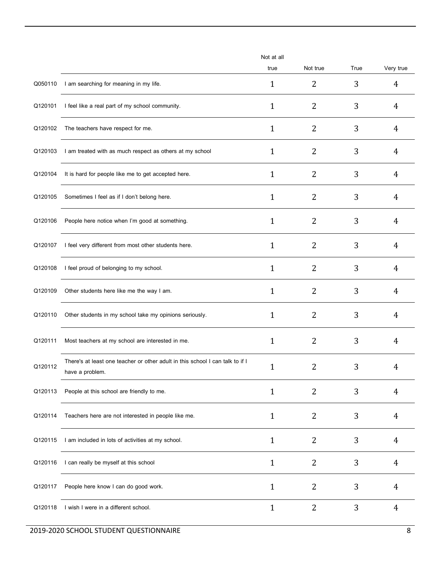|         |                                                                                                  | Not at all   |                |      |                |
|---------|--------------------------------------------------------------------------------------------------|--------------|----------------|------|----------------|
|         |                                                                                                  | true         | Not true       | True | Very true      |
| Q050110 | I am searching for meaning in my life.                                                           | $\mathbf{1}$ | 2              | 3    | 4              |
| Q120101 | I feel like a real part of my school community.                                                  | 1            | 2              | 3    | 4              |
| Q120102 | The teachers have respect for me.                                                                | 1            | 2              | 3    | 4              |
| Q120103 | I am treated with as much respect as others at my school                                         | 1            | 2              | 3    | 4              |
| Q120104 | It is hard for people like me to get accepted here.                                              | $\mathbf{1}$ | 2              | 3    | 4              |
| Q120105 | Sometimes I feel as if I don't belong here.                                                      | $\mathbf{1}$ | 2              | 3    | 4              |
| Q120106 | People here notice when I'm good at something.                                                   | 1            | 2              | 3    | 4              |
| Q120107 | I feel very different from most other students here.                                             | 1            | 2              | 3    | 4              |
| Q120108 | I feel proud of belonging to my school.                                                          | 1            | 2              | 3    | 4              |
| Q120109 | Other students here like me the way I am.                                                        | $\mathbf{1}$ | $\overline{2}$ | 3    | 4              |
| Q120110 | Other students in my school take my opinions seriously.                                          | 1            | 2              | 3    | 4              |
| Q120111 | Most teachers at my school are interested in me.                                                 | 1            | 2              | 3    | 4              |
| Q120112 | There's at least one teacher or other adult in this school I can talk to if I<br>have a problem. | 1            | 2              | 3    | 4              |
| Q120113 | People at this school are friendly to me.                                                        | $\mathbf{1}$ | 2              | 3    | 4              |
| Q120114 | Teachers here are not interested in people like me.                                              | $\mathbf{1}$ | 2              | 3    | 4              |
| Q120115 | I am included in lots of activities at my school.                                                | 1            | 2              | 3    | 4              |
| Q120116 | I can really be myself at this school                                                            | $\mathbf{1}$ | 2              | 3    | 4              |
| Q120117 | People here know I can do good work.                                                             | $\mathbf{1}$ | 2              | 3    | 4              |
| Q120118 | I wish I were in a different school.                                                             | $\mathbf{1}$ | 2              | 3    | $\overline{4}$ |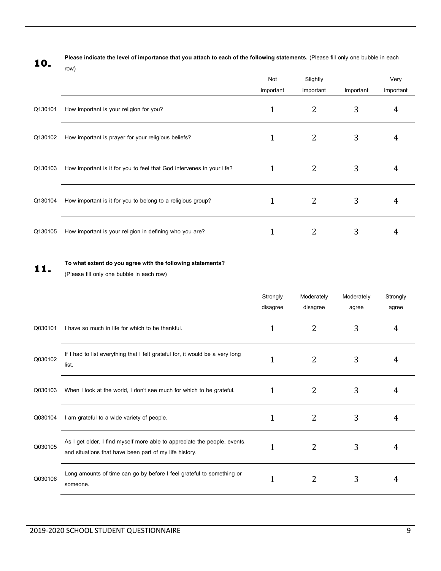**10.**

**Please indicate the level of importance that you attach to each of the following statements.** (Please fill only one bubble in each row)

Not important Slightly important Important Very important Q130101 How important is your religion for you?  $1$   $2$   $3$   $4$ Q130102 How important is prayer for your religious beliefs?  $1$   $2$   $3$   $4$ Q130103 How important is it for you to feel that God intervenes in your life?  $1$   $2$   $3$   $3$ Q130104 How important is it for you to belong to a religious group?  $1$   $2$   $3$   $4$ Q130105 How important is your religion in defining who you are?  $1$   $2$   $3$   $4$ 

## **11. To what extent do you agree with the following statements?**

(Please fill only one bubble in each row)

|         |                                                                                                                                     | Strongly     | Moderately | Moderately | Strongly |
|---------|-------------------------------------------------------------------------------------------------------------------------------------|--------------|------------|------------|----------|
|         |                                                                                                                                     | disagree     | disagree   | agree      | agree    |
| Q030101 | I have so much in life for which to be thankful.                                                                                    | 1            | 2          | 3          | 4        |
| Q030102 | If I had to list everything that I felt grateful for, it would be a very long<br>list.                                              | 1            | 2          | 3          | 4        |
| Q030103 | When I look at the world, I don't see much for which to be grateful.                                                                | 1            | 2          | 3          | 4        |
| Q030104 | I am grateful to a wide variety of people.                                                                                          | 1            | 2          | 3          | 4        |
| Q030105 | As I get older, I find myself more able to appreciate the people, events,<br>and situations that have been part of my life history. | $\mathbf{1}$ | 2          | 3          | 4        |
| Q030106 | Long amounts of time can go by before I feel grateful to something or<br>someone.                                                   | 1            | 2          | 3          | 4        |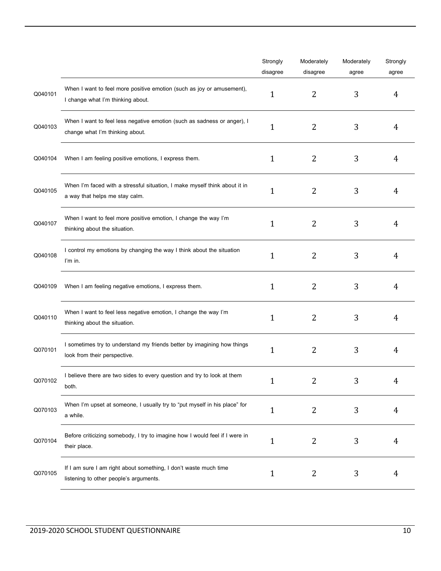|         |                                                                                                              | Strongly     | Moderately     | Moderately | Strongly |
|---------|--------------------------------------------------------------------------------------------------------------|--------------|----------------|------------|----------|
|         |                                                                                                              | disagree     | disagree       | agree      | agree    |
| Q040101 | When I want to feel more positive emotion (such as joy or amusement),<br>I change what I'm thinking about.   | 1            | 2              | 3          | 4        |
| Q040103 | When I want to feel less negative emotion (such as sadness or anger), I<br>change what I'm thinking about.   | 1            | 2              | 3          | 4        |
| Q040104 | When I am feeling positive emotions, I express them.                                                         | 1            | 2              | 3          | 4        |
| Q040105 | When I'm faced with a stressful situation, I make myself think about it in<br>a way that helps me stay calm. | 1            | $\overline{2}$ | 3          | 4        |
| Q040107 | When I want to feel more positive emotion, I change the way I'm<br>thinking about the situation.             | 1            | 2              | 3          | 4        |
| Q040108 | I control my emotions by changing the way I think about the situation<br>I'm in.                             | 1            | $\overline{2}$ | 3          | 4        |
| Q040109 | When I am feeling negative emotions, I express them.                                                         | 1            | 2              | 3          | 4        |
| Q040110 | When I want to feel less negative emotion, I change the way I'm<br>thinking about the situation.             | 1            | $\overline{2}$ | 3          | 4        |
| Q070101 | I sometimes try to understand my friends better by imagining how things<br>look from their perspective.      | 1            | $\overline{2}$ | 3          | 4        |
| Q070102 | I believe there are two sides to every question and try to look at them<br>both.                             | $\mathbf{1}$ | 2              | 3          |          |
| Q070103 | When I'm upset at someone, I usually try to "put myself in his place" for<br>a while.                        | 1            | 2              | 3          | 4        |
| Q070104 | Before criticizing somebody, I try to imagine how I would feel if I were in<br>their place.                  | 1            | 2              | 3          | 4        |
| Q070105 | If I am sure I am right about something, I don't waste much time<br>listening to other people's arguments.   | 1            | 2              | 3          | 4        |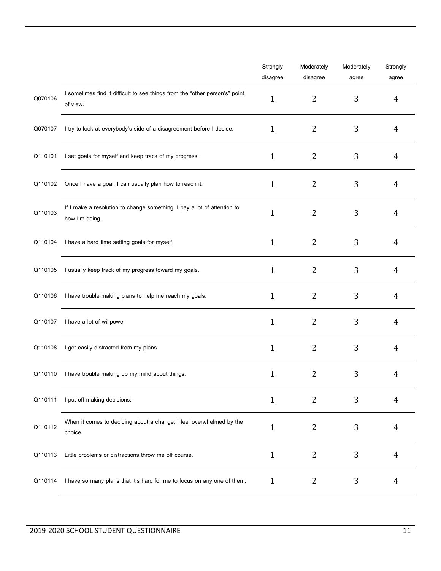|         |                                                                                           | Strongly     | Moderately     | Moderately | Strongly |
|---------|-------------------------------------------------------------------------------------------|--------------|----------------|------------|----------|
|         |                                                                                           | disagree     | disagree       | agree      | agree    |
| Q070106 | I sometimes find it difficult to see things from the "other person's" point<br>of view.   | 1            | 2              | 3          | 4        |
| Q070107 | I try to look at everybody's side of a disagreement before I decide.                      | 1            | 2              | 3          | 4        |
| Q110101 | I set goals for myself and keep track of my progress.                                     | $\mathbf{1}$ | 2              | 3          | 4        |
| Q110102 | Once I have a goal, I can usually plan how to reach it.                                   | $\mathbf{1}$ | 2              | 3          | 4        |
| Q110103 | If I make a resolution to change something, I pay a lot of attention to<br>how I'm doing. | 1            | 2              | 3          | 4        |
| Q110104 | I have a hard time setting goals for myself.                                              | $\mathbf{1}$ | 2              | 3          | 4        |
| Q110105 | I usually keep track of my progress toward my goals.                                      | $\mathbf{1}$ | 2              | 3          | 4        |
| Q110106 | I have trouble making plans to help me reach my goals.                                    | $\mathbf{1}$ | $\overline{2}$ | 3          | 4        |
| Q110107 | I have a lot of willpower                                                                 | 1            | 2              | 3          | 4        |
| Q110108 | I get easily distracted from my plans.                                                    | $\mathbf{1}$ | 2              | 3          | 4        |
| Q110110 | I have trouble making up my mind about things.                                            | 1            | $\overline{2}$ | 3          | 4        |
| Q110111 | I put off making decisions.                                                               | $\mathbf{1}$ | 2              | 3          | 4        |
| Q110112 | When it comes to deciding about a change, I feel overwhelmed by the<br>choice.            | 1            | 2              | 3          | 4        |
| Q110113 | Little problems or distractions throw me off course.                                      | $\mathbf{1}$ | 2              | 3          | 4        |
| Q110114 | I have so many plans that it's hard for me to focus on any one of them.                   | $\mathbf{1}$ | 2              | 3          | 4        |